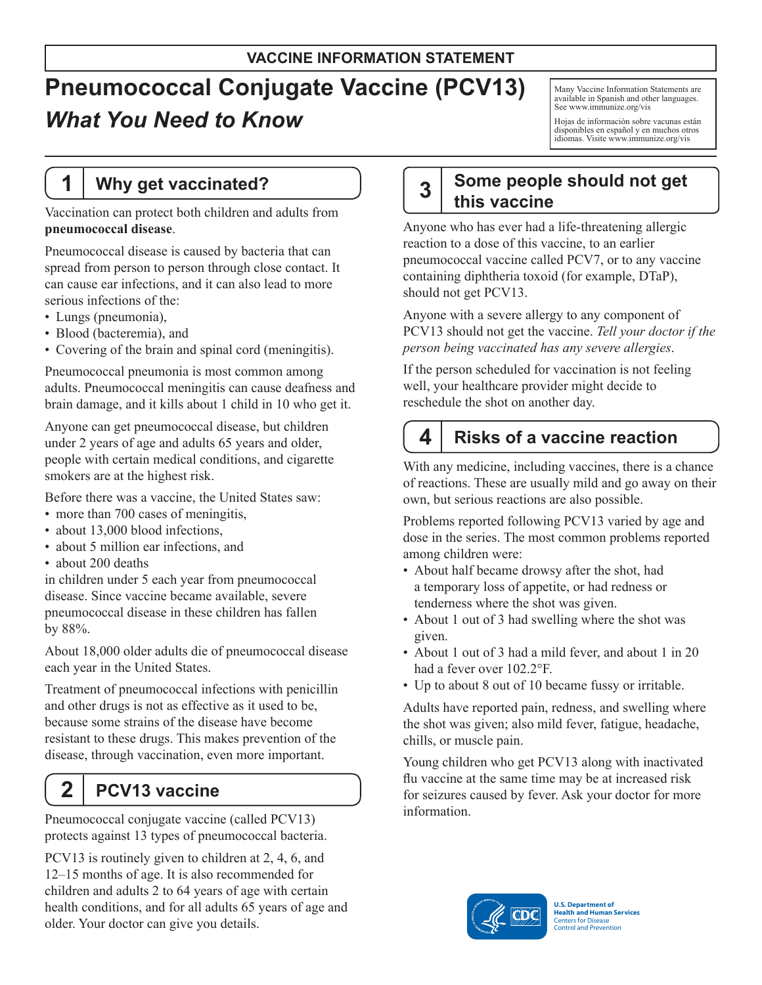## **VACCINE INFORMATION STATEMENT**

# **Pneumococcal Conjugate Vaccine (PCV13)** *What You Need to Know*

Many Vaccine Information Statements are available in Spanish and other languages. See [www.immunize.org/vis](http://www.immunize.org/vis) 

Hojas de información sobre vacunas están disponibles en español y en muchos otros idiomas. Visite www.immunize.org/vis

## **1 Why get vaccinated?**

Vaccination can protect both children and adults from **pneumococcal disease**.

Pneumococcal disease is caused by bacteria that can spread from person to person through close contact. It can cause ear infections, and it can also lead to more serious infections of the:

- Lungs (pneumonia),
- • Blood (bacteremia), and
- Covering of the brain and spinal cord (meningitis).

Pneumococcal pneumonia is most common among adults. Pneumococcal meningitis can cause deafness and brain damage, and it kills about 1 child in 10 who get it.

Anyone can get pneumococcal disease, but children under 2 years of age and adults 65 years and older, people with certain medical conditions, and cigarette smokers are at the highest risk.

Before there was a vaccine, the United States saw:

- more than 700 cases of meningitis,
- about 13,000 blood infections,
- about 5 million ear infections, and
- about 200 deaths

in children under 5 each year from pneumococcal disease. Since vaccine became available, severe pneumococcal disease in these children has fallen by 88%.

About 18,000 older adults die of pneumococcal disease each year in the United States.

Treatment of pneumococcal infections with penicillin and other drugs is not as effective as it used to be, because some strains of the disease have become resistant to these drugs. This makes prevention of the disease, through vaccination, even more important.

## **2 PCV13 vaccine**

Pneumococcal conjugate vaccine (called PCV13) protects against 13 types of pneumococcal bacteria.

PCV13 is routinely given to children at 2, 4, 6, and 12–15 months of age. It is also recommended for children and adults 2 to 64 years of age with certain health conditions, and for all adults 65 years of age and older. Your doctor can give you details.

#### **Some people should not get this vaccine 3**

Anyone who has ever had a life-threatening allergic reaction to a dose of this vaccine, to an earlier pneumococcal vaccine called PCV7, or to any vaccine containing diphtheria toxoid (for example, DTaP), should not get PCV13.

Anyone with a severe allergy to any component of PCV13 should not get the vaccine. *Tell your doctor if the person being vaccinated has any severe allergies*.

If the person scheduled for vaccination is not feeling well, your healthcare provider might decide to reschedule the shot on another day.

## **4 Risks of a vaccine reaction**

With any medicine, including vaccines, there is a chance of reactions. These are usually mild and go away on their own, but serious reactions are also possible.

Problems reported following PCV13 varied by age and dose in the series. The most common problems reported among children were:

- About half became drowsy after the shot, had a temporary loss of appetite, or had redness or tenderness where the shot was given.
- About 1 out of 3 had swelling where the shot was given.
- About 1 out of 3 had a mild fever, and about 1 in 20 had a fever over 102.2°F.
- Up to about 8 out of 10 became fussy or irritable.

Adults have reported pain, redness, and swelling where the shot was given; also mild fever, fatigue, headache, chills, or muscle pain.

Young children who get PCV13 along with inactivated flu vaccine at the same time may be at increased risk for seizures caused by fever. Ask your doctor for more information.